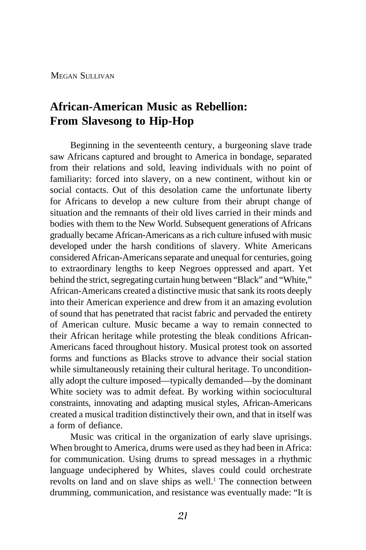MEGAN SULLIVAN

## **African-American Music as Rebellion: From Slavesong to Hip-Hop**

Beginning in the seventeenth century, a burgeoning slave trade saw Africans captured and brought to America in bondage, separated from their relations and sold, leaving individuals with no point of familiarity: forced into slavery, on a new continent, without kin or social contacts. Out of this desolation came the unfortunate liberty for Africans to develop a new culture from their abrupt change of situation and the remnants of their old lives carried in their minds and bodies with them to the New World. Subsequent generations of Africans gradually became African-Americans as a rich culture infused with music developed under the harsh conditions of slavery. White Americans considered African-Americans separate and unequal for centuries, going to extraordinary lengths to keep Negroes oppressed and apart. Yet behind the strict, segregating curtain hung between "Black" and "White," African-Americans created a distinctive music that sank its roots deeply into their American experience and drew from it an amazing evolution of sound that has penetrated that racist fabric and pervaded the entirety of American culture. Music became a way to remain connected to their African heritage while protesting the bleak conditions African-Americans faced throughout history. Musical protest took on assorted forms and functions as Blacks strove to advance their social station while simultaneously retaining their cultural heritage. To unconditionally adopt the culture imposed—typically demanded—by the dominant White society was to admit defeat. By working within sociocultural constraints, innovating and adapting musical styles, African-Americans created a musical tradition distinctively their own, and that in itself was a form of defiance.

Music was critical in the organization of early slave uprisings. When brought to America, drums were used as they had been in Africa: for communication. Using drums to spread messages in a rhythmic language undeciphered by Whites, slaves could could orchestrate revolts on land and on slave ships as well.<sup>1</sup> The connection between drumming, communication, and resistance was eventually made: "It is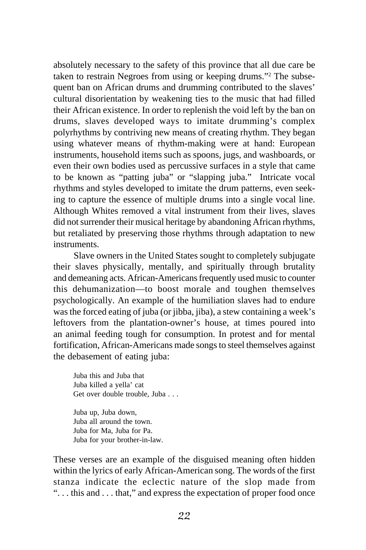absolutely necessary to the safety of this province that all due care be taken to restrain Negroes from using or keeping drums."2 The subsequent ban on African drums and drumming contributed to the slaves' cultural disorientation by weakening ties to the music that had filled their African existence. In order to replenish the void left by the ban on drums, slaves developed ways to imitate drumming's complex polyrhythms by contriving new means of creating rhythm. They began using whatever means of rhythm-making were at hand: European instruments, household items such as spoons, jugs, and washboards, or even their own bodies used as percussive surfaces in a style that came to be known as "patting juba" or "slapping juba." Intricate vocal rhythms and styles developed to imitate the drum patterns, even seeking to capture the essence of multiple drums into a single vocal line. Although Whites removed a vital instrument from their lives, slaves did not surrender their musical heritage by abandoning African rhythms, but retaliated by preserving those rhythms through adaptation to new instruments.

Slave owners in the United States sought to completely subjugate their slaves physically, mentally, and spiritually through brutality and demeaning acts. African-Americans frequently used music to counter this dehumanization—to boost morale and toughen themselves psychologically. An example of the humiliation slaves had to endure was the forced eating of juba (or jibba, jiba), a stew containing a week's leftovers from the plantation-owner's house, at times poured into an animal feeding tough for consumption. In protest and for mental fortification, African-Americans made songs to steel themselves against the debasement of eating juba:

Juba this and Juba that Juba killed a yella' cat Get over double trouble, Juba . . .

Juba up, Juba down, Juba all around the town. Juba for Ma, Juba for Pa. Juba for your brother-in-law.

These verses are an example of the disguised meaning often hidden within the lyrics of early African-American song. The words of the first stanza indicate the eclectic nature of the slop made from "... this and ... that," and express the expectation of proper food once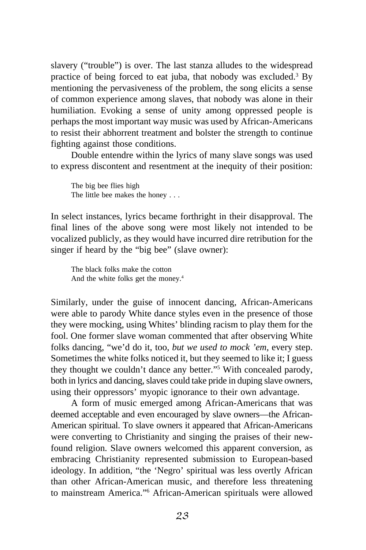slavery ("trouble") is over. The last stanza alludes to the widespread practice of being forced to eat juba, that nobody was excluded.<sup>3</sup> By mentioning the pervasiveness of the problem, the song elicits a sense of common experience among slaves, that nobody was alone in their humiliation. Evoking a sense of unity among oppressed people is perhaps the most important way music was used by African-Americans to resist their abhorrent treatment and bolster the strength to continue fighting against those conditions.

Double entendre within the lyrics of many slave songs was used to express discontent and resentment at the inequity of their position:

The big bee flies high The little bee makes the honey . . .

In select instances, lyrics became forthright in their disapproval. The final lines of the above song were most likely not intended to be vocalized publicly, as they would have incurred dire retribution for the singer if heard by the "big bee" (slave owner):

The black folks make the cotton And the white folks get the money.4

Similarly, under the guise of innocent dancing, African-Americans were able to parody White dance styles even in the presence of those they were mocking, using Whites' blinding racism to play them for the fool. One former slave woman commented that after observing White folks dancing, "we'd do it, too, *but we used to mock 'em*, every step. Sometimes the white folks noticed it, but they seemed to like it; I guess they thought we couldn't dance any better."5 With concealed parody, both in lyrics and dancing, slaves could take pride in duping slave owners, using their oppressors' myopic ignorance to their own advantage.

A form of music emerged among African-Americans that was deemed acceptable and even encouraged by slave owners—the African-American spiritual. To slave owners it appeared that African-Americans were converting to Christianity and singing the praises of their newfound religion. Slave owners welcomed this apparent conversion, as embracing Christianity represented submission to European-based ideology. In addition, "the 'Negro' spiritual was less overtly African than other African-American music, and therefore less threatening to mainstream America."6 African-American spirituals were allowed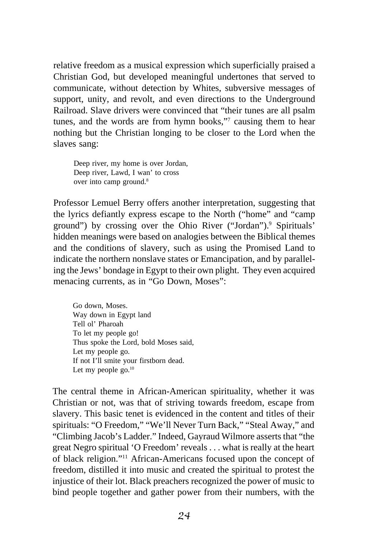relative freedom as a musical expression which superficially praised a Christian God, but developed meaningful undertones that served to communicate, without detection by Whites, subversive messages of support, unity, and revolt, and even directions to the Underground Railroad. Slave drivers were convinced that "their tunes are all psalm tunes, and the words are from hymn books,"7 causing them to hear nothing but the Christian longing to be closer to the Lord when the slaves sang:

Deep river, my home is over Jordan, Deep river, Lawd, I wan' to cross over into camp ground.<sup>8</sup>

Professor Lemuel Berry offers another interpretation, suggesting that the lyrics defiantly express escape to the North ("home" and "camp ground") by crossing over the Ohio River ("Jordan").<sup>9</sup> Spirituals' hidden meanings were based on analogies between the Biblical themes and the conditions of slavery, such as using the Promised Land to indicate the northern nonslave states or Emancipation, and by paralleling the Jews' bondage in Egypt to their own plight. They even acquired menacing currents, as in "Go Down, Moses":

Go down, Moses. Way down in Egypt land Tell ol' Pharoah To let my people go! Thus spoke the Lord, bold Moses said, Let my people go. If not I'll smite your firstborn dead. Let my people go.<sup>10</sup>

The central theme in African-American spirituality, whether it was Christian or not, was that of striving towards freedom, escape from slavery. This basic tenet is evidenced in the content and titles of their spirituals: "O Freedom," "We'll Never Turn Back," "Steal Away," and "Climbing Jacob's Ladder." Indeed, Gayraud Wilmore asserts that "the great Negro spiritual 'O Freedom' reveals . . . what is really at the heart of black religion."11 African-Americans focused upon the concept of freedom, distilled it into music and created the spiritual to protest the injustice of their lot. Black preachers recognized the power of music to bind people together and gather power from their numbers, with the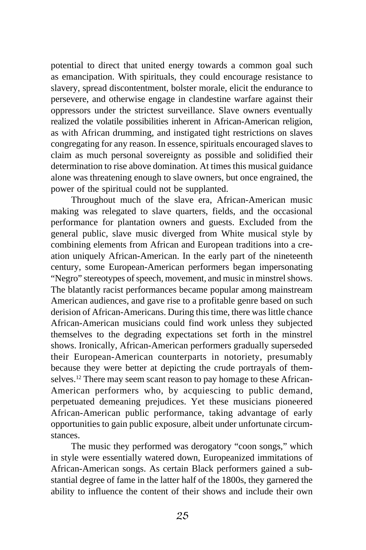potential to direct that united energy towards a common goal such as emancipation. With spirituals, they could encourage resistance to slavery, spread discontentment, bolster morale, elicit the endurance to persevere, and otherwise engage in clandestine warfare against their oppressors under the strictest surveillance. Slave owners eventually realized the volatile possibilities inherent in African-American religion, as with African drumming, and instigated tight restrictions on slaves congregating for any reason. In essence, spirituals encouraged slaves to claim as much personal sovereignty as possible and solidified their determination to rise above domination. At times this musical guidance alone was threatening enough to slave owners, but once engrained, the power of the spiritual could not be supplanted.

Throughout much of the slave era, African-American music making was relegated to slave quarters, fields, and the occasional performance for plantation owners and guests. Excluded from the general public, slave music diverged from White musical style by combining elements from African and European traditions into a creation uniquely African-American. In the early part of the nineteenth century, some European-American performers began impersonating "Negro" stereotypes of speech, movement, and music in minstrel shows. The blatantly racist performances became popular among mainstream American audiences, and gave rise to a profitable genre based on such derision of African-Americans. During this time, there was little chance African-American musicians could find work unless they subjected themselves to the degrading expectations set forth in the minstrel shows. Ironically, African-American performers gradually superseded their European-American counterparts in notoriety, presumably because they were better at depicting the crude portrayals of themselves.<sup>12</sup> There may seem scant reason to pay homage to these African-American performers who, by acquiescing to public demand, perpetuated demeaning prejudices. Yet these musicians pioneered African-American public performance, taking advantage of early opportunities to gain public exposure, albeit under unfortunate circumstances.

The music they performed was derogatory "coon songs," which in style were essentially watered down, Europeanized immitations of African-American songs. As certain Black performers gained a substantial degree of fame in the latter half of the 1800s, they garnered the ability to influence the content of their shows and include their own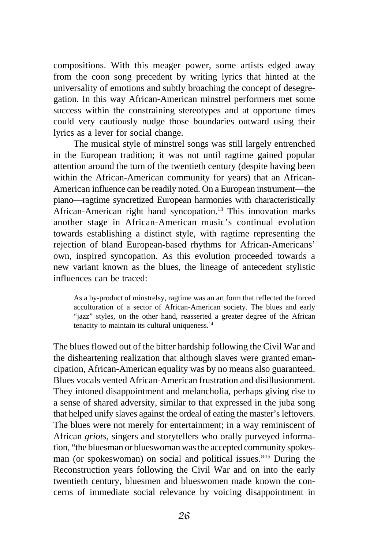compositions. With this meager power, some artists edged away from the coon song precedent by writing lyrics that hinted at the universality of emotions and subtly broaching the concept of desegregation. In this way African-American minstrel performers met some success within the constraining stereotypes and at opportune times could very cautiously nudge those boundaries outward using their lyrics as a lever for social change.

The musical style of minstrel songs was still largely entrenched in the European tradition; it was not until ragtime gained popular attention around the turn of the twentieth century (despite having been within the African-American community for years) that an African-American influence can be readily noted. On a European instrument—the piano—ragtime syncretized European harmonies with characteristically African-American right hand syncopation.13 This innovation marks another stage in African-American music's continual evolution towards establishing a distinct style, with ragtime representing the rejection of bland European-based rhythms for African-Americans' own, inspired syncopation. As this evolution proceeded towards a new variant known as the blues, the lineage of antecedent stylistic influences can be traced:

As a by-product of minstrelsy, ragtime was an art form that reflected the forced acculturation of a sector of African-American society. The blues and early "jazz" styles, on the other hand, reasserted a greater degree of the African tenacity to maintain its cultural uniqueness.14

The blues flowed out of the bitter hardship following the Civil War and the disheartening realization that although slaves were granted emancipation, African-American equality was by no means also guaranteed. Blues vocals vented African-American frustration and disillusionment. They intoned disappointment and melancholia, perhaps giving rise to a sense of shared adversity, similar to that expressed in the juba song that helped unify slaves against the ordeal of eating the master's leftovers. The blues were not merely for entertainment; in a way reminiscent of African *griots*, singers and storytellers who orally purveyed information, "the bluesman or blueswoman was the accepted community spokesman (or spokeswoman) on social and political issues."15 During the Reconstruction years following the Civil War and on into the early twentieth century, bluesmen and blueswomen made known the concerns of immediate social relevance by voicing disappointment in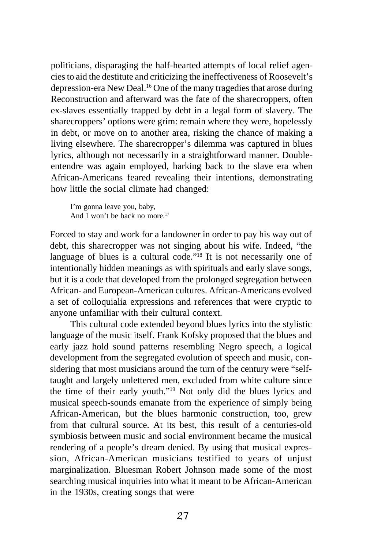politicians, disparaging the half-hearted attempts of local relief agencies to aid the destitute and criticizing the ineffectiveness of Roosevelt's depression-era New Deal.16 One of the many tragedies that arose during Reconstruction and afterward was the fate of the sharecroppers, often ex-slaves essentially trapped by debt in a legal form of slavery. The sharecroppers' options were grim: remain where they were, hopelessly in debt, or move on to another area, risking the chance of making a living elsewhere. The sharecropper's dilemma was captured in blues lyrics, although not necessarily in a straightforward manner. Doubleentendre was again employed, harking back to the slave era when African-Americans feared revealing their intentions, demonstrating how little the social climate had changed:

I'm gonna leave you, baby, And I won't be back no more.<sup>17</sup>

Forced to stay and work for a landowner in order to pay his way out of debt, this sharecropper was not singing about his wife. Indeed, "the language of blues is a cultural code."<sup>18</sup> It is not necessarily one of intentionally hidden meanings as with spirituals and early slave songs, but it is a code that developed from the prolonged segregation between African- and European-American cultures. African-Americans evolved a set of colloquialia expressions and references that were cryptic to anyone unfamiliar with their cultural context.

This cultural code extended beyond blues lyrics into the stylistic language of the music itself. Frank Kofsky proposed that the blues and early jazz hold sound patterns resembling Negro speech, a logical development from the segregated evolution of speech and music, considering that most musicians around the turn of the century were "selftaught and largely unlettered men, excluded from white culture since the time of their early youth."19 Not only did the blues lyrics and musical speech-sounds emanate from the experience of simply being African-American, but the blues harmonic construction, too, grew from that cultural source. At its best, this result of a centuries-old symbiosis between music and social environment became the musical rendering of a people's dream denied. By using that musical expression, African-American musicians testified to years of unjust marginalization. Bluesman Robert Johnson made some of the most searching musical inquiries into what it meant to be African-American in the 1930s, creating songs that were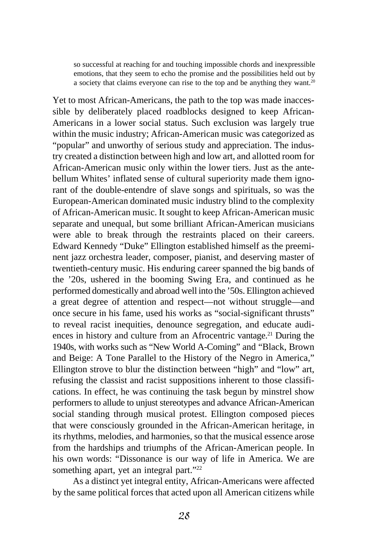so successful at reaching for and touching impossible chords and inexpressible emotions, that they seem to echo the promise and the possibilities held out by a society that claims everyone can rise to the top and be anything they want.20

Yet to most African-Americans, the path to the top was made inaccessible by deliberately placed roadblocks designed to keep African-Americans in a lower social status. Such exclusion was largely true within the music industry; African-American music was categorized as "popular" and unworthy of serious study and appreciation. The industry created a distinction between high and low art, and allotted room for African-American music only within the lower tiers. Just as the antebellum Whites' inflated sense of cultural superiority made them ignorant of the double-entendre of slave songs and spirituals, so was the European-American dominated music industry blind to the complexity of African-American music. It sought to keep African-American music separate and unequal, but some brilliant African-American musicians were able to break through the restraints placed on their careers. Edward Kennedy "Duke" Ellington established himself as the preeminent jazz orchestra leader, composer, pianist, and deserving master of twentieth-century music. His enduring career spanned the big bands of the '20s, ushered in the booming Swing Era, and continued as he performed domestically and abroad well into the '50s. Ellington achieved a great degree of attention and respect—not without struggle—and once secure in his fame, used his works as "social-significant thrusts" to reveal racist inequities, denounce segregation, and educate audiences in history and culture from an Afrocentric vantage.<sup>21</sup> During the 1940s, with works such as "New World A-Coming" and "Black, Brown and Beige: A Tone Parallel to the History of the Negro in America," Ellington strove to blur the distinction between "high" and "low" art, refusing the classist and racist suppositions inherent to those classifications. In effect, he was continuing the task begun by minstrel show performers to allude to unjust stereotypes and advance African-American social standing through musical protest. Ellington composed pieces that were consciously grounded in the African-American heritage, in its rhythms, melodies, and harmonies, so that the musical essence arose from the hardships and triumphs of the African-American people. In his own words: "Dissonance is our way of life in America. We are something apart, yet an integral part."<sup>22</sup>

As a distinct yet integral entity, African-Americans were affected by the same political forces that acted upon all American citizens while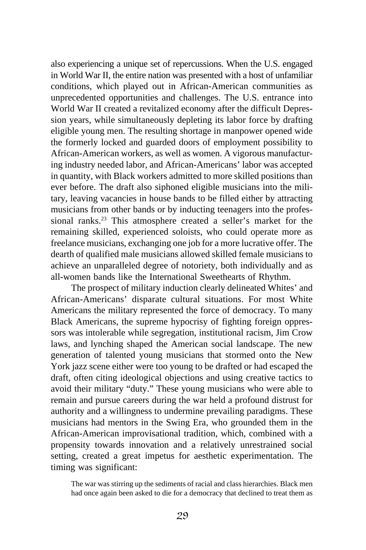also experiencing a unique set of repercussions. When the U.S. engaged in World War II, the entire nation was presented with a host of unfamiliar conditions, which played out in African-American communities as unprecedented opportunities and challenges. The U.S. entrance into World War II created a revitalized economy after the difficult Depression years, while simultaneously depleting its labor force by drafting eligible young men. The resulting shortage in manpower opened wide the formerly locked and guarded doors of employment possibility to African-American workers, as well as women. A vigorous manufacturing industry needed labor, and African-Americans' labor was accepted in quantity, with Black workers admitted to more skilled positions than ever before. The draft also siphoned eligible musicians into the military, leaving vacancies in house bands to be filled either by attracting musicians from other bands or by inducting teenagers into the professional ranks.<sup>23</sup> This atmosphere created a seller's market for the remaining skilled, experienced soloists, who could operate more as freelance musicians, exchanging one job for a more lucrative offer. The dearth of qualified male musicians allowed skilled female musicians to achieve an unparalleled degree of notoriety, both individually and as all-women bands like the International Sweethearts of Rhythm.

The prospect of military induction clearly delineated Whites' and African-Americans' disparate cultural situations. For most White Americans the military represented the force of democracy. To many Black Americans, the supreme hypocrisy of fighting foreign oppressors was intolerable while segregation, institutional racism, Jim Crow laws, and lynching shaped the American social landscape. The new generation of talented young musicians that stormed onto the New York jazz scene either were too young to be drafted or had escaped the draft, often citing ideological objections and using creative tactics to avoid their military "duty." These young musicians who were able to remain and pursue careers during the war held a profound distrust for authority and a willingness to undermine prevailing paradigms. These musicians had mentors in the Swing Era, who grounded them in the African-American improvisational tradition, which, combined with a propensity towards innovation and a relatively unrestrained social setting, created a great impetus for aesthetic experimentation. The timing was significant:

The war was stirring up the sediments of racial and class hierarchies. Black men had once again been asked to die for a democracy that declined to treat them as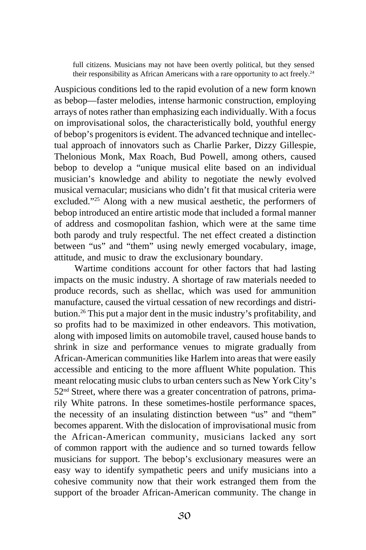full citizens. Musicians may not have been overtly political, but they sensed their responsibility as African Americans with a rare opportunity to act freely.<sup>24</sup>

Auspicious conditions led to the rapid evolution of a new form known as bebop—faster melodies, intense harmonic construction, employing arrays of notes rather than emphasizing each individually. With a focus on improvisational solos, the characteristically bold, youthful energy of bebop's progenitors is evident. The advanced technique and intellectual approach of innovators such as Charlie Parker, Dizzy Gillespie, Thelonious Monk, Max Roach, Bud Powell, among others, caused bebop to develop a "unique musical elite based on an individual musician's knowledge and ability to negotiate the newly evolved musical vernacular; musicians who didn't fit that musical criteria were excluded."25 Along with a new musical aesthetic, the performers of bebop introduced an entire artistic mode that included a formal manner of address and cosmopolitan fashion, which were at the same time both parody and truly respectful. The net effect created a distinction between "us" and "them" using newly emerged vocabulary, image, attitude, and music to draw the exclusionary boundary.

Wartime conditions account for other factors that had lasting impacts on the music industry. A shortage of raw materials needed to produce records, such as shellac, which was used for ammunition manufacture, caused the virtual cessation of new recordings and distribution.26 This put a major dent in the music industry's profitability, and so profits had to be maximized in other endeavors. This motivation, along with imposed limits on automobile travel, caused house bands to shrink in size and performance venues to migrate gradually from African-American communities like Harlem into areas that were easily accessible and enticing to the more affluent White population. This meant relocating music clubs to urban centers such as New York City's 52nd Street, where there was a greater concentration of patrons, primarily White patrons. In these sometimes-hostile performance spaces, the necessity of an insulating distinction between "us" and "them" becomes apparent. With the dislocation of improvisational music from the African-American community, musicians lacked any sort of common rapport with the audience and so turned towards fellow musicians for support. The bebop's exclusionary measures were an easy way to identify sympathetic peers and unify musicians into a cohesive community now that their work estranged them from the support of the broader African-American community. The change in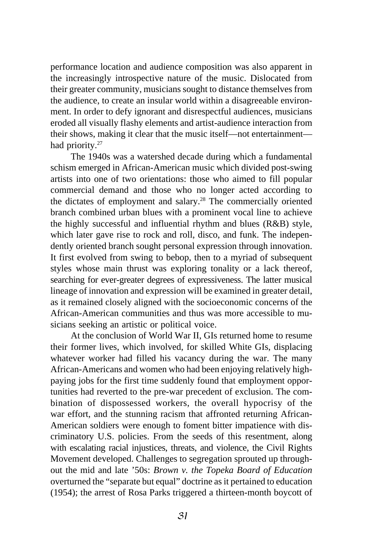performance location and audience composition was also apparent in the increasingly introspective nature of the music. Dislocated from their greater community, musicians sought to distance themselves from the audience, to create an insular world within a disagreeable environment. In order to defy ignorant and disrespectful audiences, musicians eroded all visually flashy elements and artist-audience interaction from their shows, making it clear that the music itself—not entertainment had priority.<sup>27</sup>

The 1940s was a watershed decade during which a fundamental schism emerged in African-American music which divided post-swing artists into one of two orientations: those who aimed to fill popular commercial demand and those who no longer acted according to the dictates of employment and salary.28 The commercially oriented branch combined urban blues with a prominent vocal line to achieve the highly successful and influential rhythm and blues (R&B) style, which later gave rise to rock and roll, disco, and funk. The independently oriented branch sought personal expression through innovation. It first evolved from swing to bebop, then to a myriad of subsequent styles whose main thrust was exploring tonality or a lack thereof, searching for ever-greater degrees of expressiveness. The latter musical lineage of innovation and expression will be examined in greater detail, as it remained closely aligned with the socioeconomic concerns of the African-American communities and thus was more accessible to musicians seeking an artistic or political voice.

At the conclusion of World War II, GIs returned home to resume their former lives, which involved, for skilled White GIs, displacing whatever worker had filled his vacancy during the war. The many African-Americans and women who had been enjoying relatively highpaying jobs for the first time suddenly found that employment opportunities had reverted to the pre-war precedent of exclusion. The combination of dispossessed workers, the overall hypocrisy of the war effort, and the stunning racism that affronted returning African-American soldiers were enough to foment bitter impatience with discriminatory U.S. policies. From the seeds of this resentment, along with escalating racial injustices, threats, and violence, the Civil Rights Movement developed. Challenges to segregation sprouted up throughout the mid and late '50s: *Brown v. the Topeka Board of Education* overturned the "separate but equal" doctrine as it pertained to education (1954); the arrest of Rosa Parks triggered a thirteen-month boycott of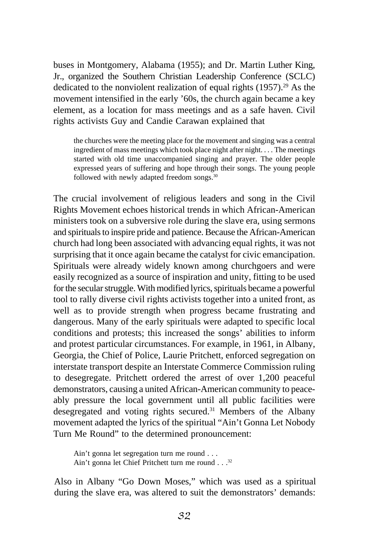buses in Montgomery, Alabama (1955); and Dr. Martin Luther King, Jr., organized the Southern Christian Leadership Conference (SCLC) dedicated to the nonviolent realization of equal rights (1957).29 As the movement intensified in the early '60s, the church again became a key element, as a location for mass meetings and as a safe haven. Civil rights activists Guy and Candie Carawan explained that

the churches were the meeting place for the movement and singing was a central ingredient of mass meetings which took place night after night. . . . The meetings started with old time unaccompanied singing and prayer. The older people expressed years of suffering and hope through their songs. The young people followed with newly adapted freedom songs.<sup>30</sup>

The crucial involvement of religious leaders and song in the Civil Rights Movement echoes historical trends in which African-American ministers took on a subversive role during the slave era, using sermons and spirituals to inspire pride and patience. Because the African-American church had long been associated with advancing equal rights, it was not surprising that it once again became the catalyst for civic emancipation. Spirituals were already widely known among churchgoers and were easily recognized as a source of inspiration and unity, fitting to be used for the secular struggle. With modified lyrics, spirituals became a powerful tool to rally diverse civil rights activists together into a united front, as well as to provide strength when progress became frustrating and dangerous. Many of the early spirituals were adapted to specific local conditions and protests; this increased the songs' abilities to inform and protest particular circumstances. For example, in 1961, in Albany, Georgia, the Chief of Police, Laurie Pritchett, enforced segregation on interstate transport despite an Interstate Commerce Commission ruling to desegregate. Pritchett ordered the arrest of over 1,200 peaceful demonstrators, causing a united African-American community to peaceably pressure the local government until all public facilities were desegregated and voting rights secured.<sup>31</sup> Members of the Albany movement adapted the lyrics of the spiritual "Ain't Gonna Let Nobody Turn Me Round" to the determined pronouncement:

Ain't gonna let segregation turn me round . . . Ain't gonna let Chief Pritchett turn me round . . .32

Also in Albany "Go Down Moses," which was used as a spiritual during the slave era, was altered to suit the demonstrators' demands: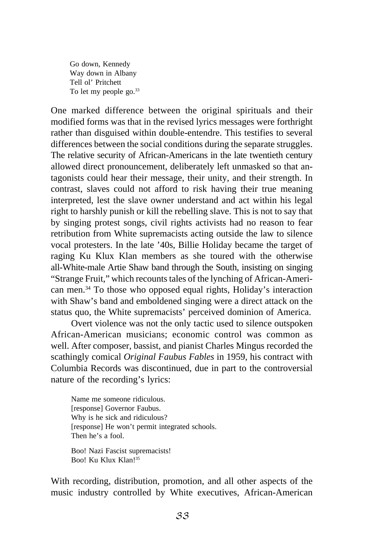Go down, Kennedy Way down in Albany Tell ol' Pritchett To let my people go.<sup>33</sup>

One marked difference between the original spirituals and their modified forms was that in the revised lyrics messages were forthright rather than disguised within double-entendre. This testifies to several differences between the social conditions during the separate struggles. The relative security of African-Americans in the late twentieth century allowed direct pronouncement, deliberately left unmasked so that antagonists could hear their message, their unity, and their strength. In contrast, slaves could not afford to risk having their true meaning interpreted, lest the slave owner understand and act within his legal right to harshly punish or kill the rebelling slave. This is not to say that by singing protest songs, civil rights activists had no reason to fear retribution from White supremacists acting outside the law to silence vocal protesters. In the late '40s, Billie Holiday became the target of raging Ku Klux Klan members as she toured with the otherwise all-White-male Artie Shaw band through the South, insisting on singing "Strange Fruit," which recounts tales of the lynching of African-American men.34 To those who opposed equal rights, Holiday's interaction with Shaw's band and emboldened singing were a direct attack on the status quo, the White supremacists' perceived dominion of America.

Overt violence was not the only tactic used to silence outspoken African-American musicians; economic control was common as well. After composer, bassist, and pianist Charles Mingus recorded the scathingly comical *Original Faubus Fables* in 1959, his contract with Columbia Records was discontinued, due in part to the controversial nature of the recording's lyrics:

Name me someone ridiculous. [response] Governor Faubus. Why is he sick and ridiculous? [response] He won't permit integrated schools. Then he's a fool.

Boo! Nazi Fascist supremacists! Boo! Ku Klux Klan!35

With recording, distribution, promotion, and all other aspects of the music industry controlled by White executives, African-American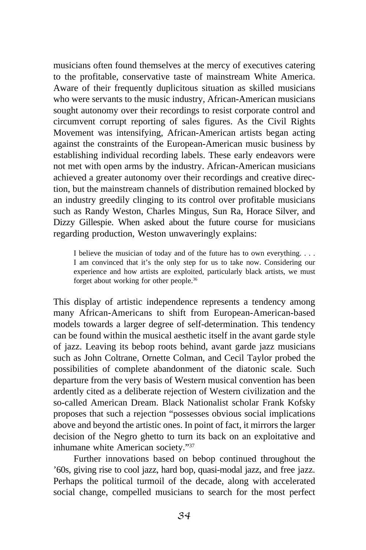musicians often found themselves at the mercy of executives catering to the profitable, conservative taste of mainstream White America. Aware of their frequently duplicitous situation as skilled musicians who were servants to the music industry, African-American musicians sought autonomy over their recordings to resist corporate control and circumvent corrupt reporting of sales figures. As the Civil Rights Movement was intensifying, African-American artists began acting against the constraints of the European-American music business by establishing individual recording labels. These early endeavors were not met with open arms by the industry. African-American musicians achieved a greater autonomy over their recordings and creative direction, but the mainstream channels of distribution remained blocked by an industry greedily clinging to its control over profitable musicians such as Randy Weston, Charles Mingus, Sun Ra, Horace Silver, and Dizzy Gillespie. When asked about the future course for musicians regarding production, Weston unwaveringly explains:

I believe the musician of today and of the future has to own everything. . . . I am convinced that it's the only step for us to take now. Considering our experience and how artists are exploited, particularly black artists, we must forget about working for other people.36

This display of artistic independence represents a tendency among many African-Americans to shift from European-American-based models towards a larger degree of self-determination. This tendency can be found within the musical aesthetic itself in the avant garde style of jazz. Leaving its bebop roots behind, avant garde jazz musicians such as John Coltrane, Ornette Colman, and Cecil Taylor probed the possibilities of complete abandonment of the diatonic scale. Such departure from the very basis of Western musical convention has been ardently cited as a deliberate rejection of Western civilization and the so-called American Dream. Black Nationalist scholar Frank Kofsky proposes that such a rejection "possesses obvious social implications above and beyond the artistic ones. In point of fact, it mirrors the larger decision of the Negro ghetto to turn its back on an exploitative and inhumane white American society."37

Further innovations based on bebop continued throughout the '60s, giving rise to cool jazz, hard bop, quasi-modal jazz, and free jazz. Perhaps the political turmoil of the decade, along with accelerated social change, compelled musicians to search for the most perfect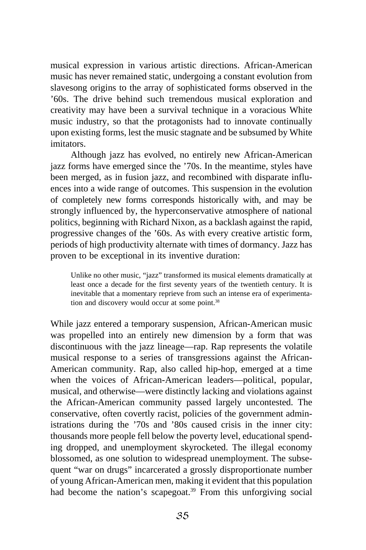musical expression in various artistic directions. African-American music has never remained static, undergoing a constant evolution from slavesong origins to the array of sophisticated forms observed in the '60s. The drive behind such tremendous musical exploration and creativity may have been a survival technique in a voracious White music industry, so that the protagonists had to innovate continually upon existing forms, lest the music stagnate and be subsumed by White imitators.

Although jazz has evolved, no entirely new African-American jazz forms have emerged since the '70s. In the meantime, styles have been merged, as in fusion jazz, and recombined with disparate influences into a wide range of outcomes. This suspension in the evolution of completely new forms corresponds historically with, and may be strongly influenced by, the hyperconservative atmosphere of national politics, beginning with Richard Nixon, as a backlash against the rapid, progressive changes of the '60s. As with every creative artistic form, periods of high productivity alternate with times of dormancy. Jazz has proven to be exceptional in its inventive duration:

Unlike no other music, "jazz" transformed its musical elements dramatically at least once a decade for the first seventy years of the twentieth century. It is inevitable that a momentary reprieve from such an intense era of experimentation and discovery would occur at some point.<sup>38</sup>

While jazz entered a temporary suspension, African-American music was propelled into an entirely new dimension by a form that was discontinuous with the jazz lineage—rap. Rap represents the volatile musical response to a series of transgressions against the African-American community. Rap, also called hip-hop, emerged at a time when the voices of African-American leaders—political, popular, musical, and otherwise—were distinctly lacking and violations against the African-American community passed largely uncontested. The conservative, often covertly racist, policies of the government administrations during the '70s and '80s caused crisis in the inner city: thousands more people fell below the poverty level, educational spending dropped, and unemployment skyrocketed. The illegal economy blossomed, as one solution to widespread unemployment. The subsequent "war on drugs" incarcerated a grossly disproportionate number of young African-American men, making it evident that this population had become the nation's scapegoat.<sup>39</sup> From this unforgiving social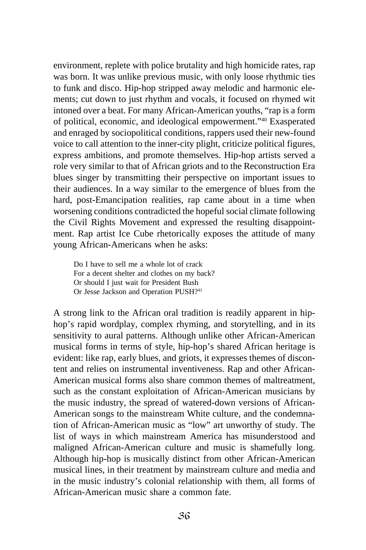environment, replete with police brutality and high homicide rates, rap was born. It was unlike previous music, with only loose rhythmic ties to funk and disco. Hip-hop stripped away melodic and harmonic elements; cut down to just rhythm and vocals, it focused on rhymed wit intoned over a beat. For many African-American youths, "rap is a form of political, economic, and ideological empowerment."40 Exasperated and enraged by sociopolitical conditions, rappers used their new-found voice to call attention to the inner-city plight, criticize political figures, express ambitions, and promote themselves. Hip-hop artists served a role very similar to that of African griots and to the Reconstruction Era blues singer by transmitting their perspective on important issues to their audiences. In a way similar to the emergence of blues from the hard, post-Emancipation realities, rap came about in a time when worsening conditions contradicted the hopeful social climate following the Civil Rights Movement and expressed the resulting disappointment. Rap artist Ice Cube rhetorically exposes the attitude of many young African-Americans when he asks:

Do I have to sell me a whole lot of crack For a decent shelter and clothes on my back? Or should I just wait for President Bush Or Jesse Jackson and Operation PUSH?<sup>41</sup>

A strong link to the African oral tradition is readily apparent in hiphop's rapid wordplay, complex rhyming, and storytelling, and in its sensitivity to aural patterns. Although unlike other African-American musical forms in terms of style, hip-hop's shared African heritage is evident: like rap, early blues, and griots, it expresses themes of discontent and relies on instrumental inventiveness. Rap and other African-American musical forms also share common themes of maltreatment, such as the constant exploitation of African-American musicians by the music industry, the spread of watered-down versions of African-American songs to the mainstream White culture, and the condemnation of African-American music as "low" art unworthy of study. The list of ways in which mainstream America has misunderstood and maligned African-American culture and music is shamefully long. Although hip-hop is musically distinct from other African-American musical lines, in their treatment by mainstream culture and media and in the music industry's colonial relationship with them, all forms of African-American music share a common fate.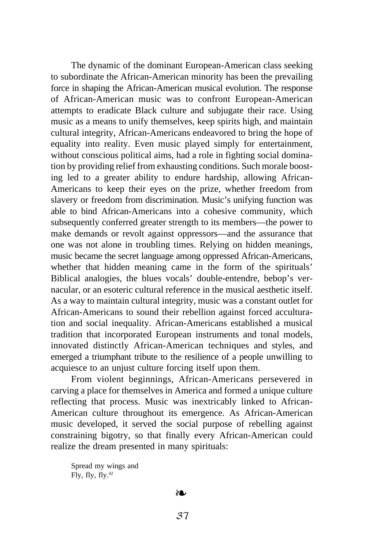The dynamic of the dominant European-American class seeking to subordinate the African-American minority has been the prevailing force in shaping the African-American musical evolution. The response of African-American music was to confront European-American attempts to eradicate Black culture and subjugate their race. Using music as a means to unify themselves, keep spirits high, and maintain cultural integrity, African-Americans endeavored to bring the hope of equality into reality. Even music played simply for entertainment, without conscious political aims, had a role in fighting social domination by providing relief from exhausting conditions. Such morale boosting led to a greater ability to endure hardship, allowing African-Americans to keep their eyes on the prize, whether freedom from slavery or freedom from discrimination. Music's unifying function was able to bind African-Americans into a cohesive community, which subsequently conferred greater strength to its members—the power to make demands or revolt against oppressors—and the assurance that one was not alone in troubling times. Relying on hidden meanings, music became the secret language among oppressed African-Americans, whether that hidden meaning came in the form of the spirituals' Biblical analogies, the blues vocals' double-entendre, bebop's vernacular, or an esoteric cultural reference in the musical aesthetic itself. As a way to maintain cultural integrity, music was a constant outlet for African-Americans to sound their rebellion against forced acculturation and social inequality. African-Americans established a musical tradition that incorporated European instruments and tonal models, innovated distinctly African-American techniques and styles, and emerged a triumphant tribute to the resilience of a people unwilling to acquiesce to an unjust culture forcing itself upon them.

From violent beginnings, African-Americans persevered in carving a place for themselves in America and formed a unique culture reflecting that process. Music was inextricably linked to African-American culture throughout its emergence. As African-American music developed, it served the social purpose of rebelling against constraining bigotry, so that finally every African-American could realize the dream presented in many spirituals:

Spread my wings and  $Fix.$  fly,  $fly^{42}$ 

## ❧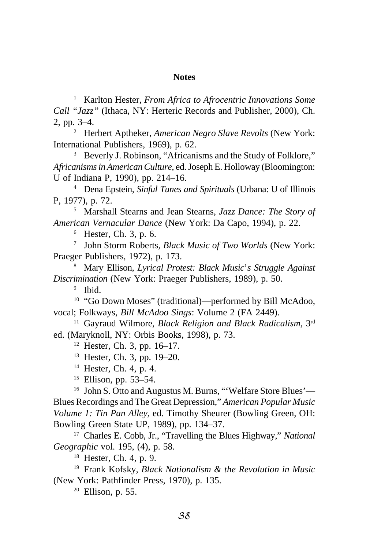## **Notes**

<sup>1</sup> Karlton Hester, *From Africa to Afrocentric Innovations Some Call "Jazz"* (Ithaca, NY: Herteric Records and Publisher, 2000), Ch. 2, pp. 3–4.

<sup>2</sup> Herbert Aptheker, *American Negro Slave Revolts* (New York: International Publishers, 1969), p. 62.

<sup>3</sup> Beverly J. Robinson, "Africanisms and the Study of Folklore," *Africanisms in American Culture*, ed. Joseph E. Holloway (Bloomington: U of Indiana P, 1990), pp. 214–16.

<sup>4</sup> Dena Epstein, *Sinful Tunes and Spirituals* (Urbana: U of Illinois P, 1977), p. 72.

<sup>5</sup> Marshall Stearns and Jean Stearns, *Jazz Dance: The Story of American Vernacular Dance* (New York: Da Capo, 1994), p. 22.

<sup>6</sup> Hester, Ch. 3, p. 6.

<sup>7</sup> John Storm Roberts, *Black Music of Two Worlds* (New York: Praeger Publishers, 1972), p. 173.

<sup>8</sup> Mary Ellison, *Lyrical Protest: Black Music*'*s Struggle Against Discrimination* (New York: Praeger Publishers, 1989), p. 50.

<sup>9</sup> Ibid.

<sup>10</sup> "Go Down Moses" (traditional)—performed by Bill McAdoo, vocal; Folkways, *Bill McAdoo Sings*: Volume 2 (FA 2449).

<sup>11</sup> Gayraud Wilmore, *Black Religion and Black Radicalism*, 3rd ed. (Maryknoll, NY: Orbis Books, 1998), p. 73.

<sup>12</sup> Hester, Ch. 3, pp. 16–17.

<sup>13</sup> Hester, Ch. 3, pp. 19–20.

<sup>14</sup> Hester, Ch. 4, p. 4.

<sup>15</sup> Ellison, pp. 53–54.

<sup>16</sup> John S. Otto and Augustus M. Burns, "'Welfare Store Blues'-Blues Recordings and The Great Depression," *American Popular Music Volume 1: Tin Pan Alley,* ed. Timothy Sheurer (Bowling Green, OH: Bowling Green State UP, 1989), pp. 134–37.

<sup>17</sup> Charles E. Cobb, Jr., "Travelling the Blues Highway," *National Geographic* vol. 195, (4), p. 58.

<sup>18</sup> Hester, Ch. 4, p. 9.

<sup>19</sup> Frank Kofsky, *Black Nationalism & the Revolution in Music* (New York: Pathfinder Press, 1970), p. 135.

<sup>20</sup> Ellison, p. 55.